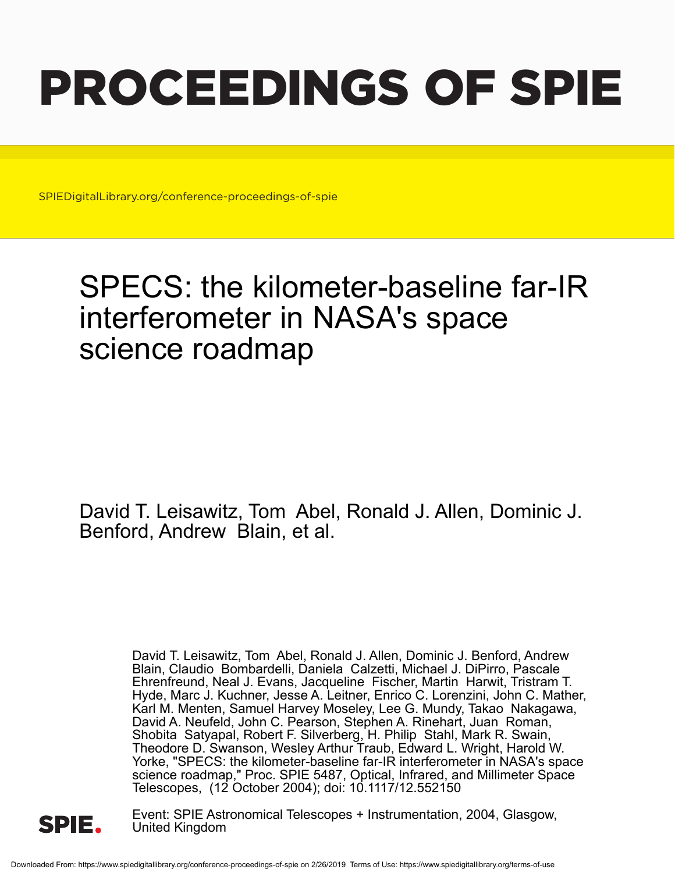# PROCEEDINGS OF SPIE

SPIEDigitalLibrary.org/conference-proceedings-of-spie

## SPECS: the kilometer-baseline far-IR interferometer in NASA's space science roadmap

David T. Leisawitz, Tom Abel, Ronald J. Allen, Dominic J. Benford, Andrew Blain, et al.

> David T. Leisawitz, Tom Abel, Ronald J. Allen, Dominic J. Benford, Andrew Blain, Claudio Bombardelli, Daniela Calzetti, Michael J. DiPirro, Pascale Ehrenfreund, Neal J. Evans, Jacqueline Fischer, Martin Harwit, Tristram T. Hyde, Marc J. Kuchner, Jesse A. Leitner, Enrico C. Lorenzini, John C. Mather, Karl M. Menten, Samuel Harvey Moseley, Lee G. Mundy, Takao Nakagawa, David A. Neufeld, John C. Pearson, Stephen A. Rinehart, Juan Roman, Shobita Satyapal, Robert F. Silverberg, H. Philip Stahl, Mark R. Swain, Theodore D. Swanson, Wesley Arthur Traub, Edward L. Wright, Harold W. Yorke, "SPECS: the kilometer-baseline far-IR interferometer in NASA's space science roadmap," Proc. SPIE 5487, Optical, Infrared, and Millimeter Space Telescopes, (12 October 2004); doi: 10.1117/12.552150



Event: SPIE Astronomical Telescopes + Instrumentation, 2004, Glasgow, United Kingdom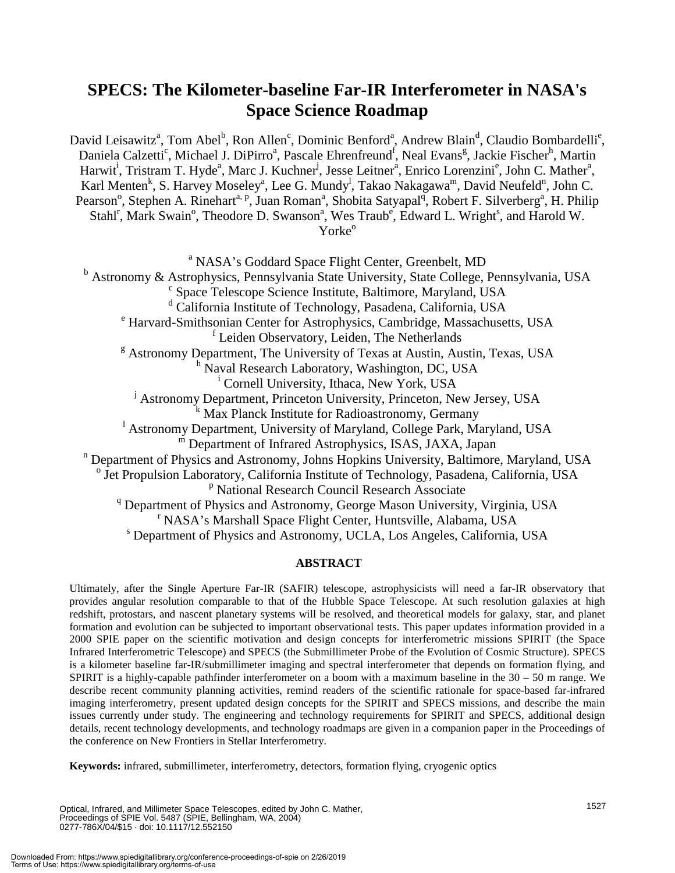### **SPECS: The Kilometer-baseline Far-IR Interferometer in NASA's Space Science Roadmap**

David Leisawitz<sup>a</sup>, Tom Abel<sup>b</sup>, Ron Allen<sup>c</sup>, Dominic Benford<sup>a</sup>, Andrew Blain<sup>d</sup>, Claudio Bombardelli<sup>e</sup>, Daniela Calzetti<sup>c</sup>, Michael J. DiPirro<sup>a</sup>, Pascale Ehrenfreund<sup>f</sup>, Neal Evans<sup>g</sup>, Jackie Fischer<sup>h</sup>, Martin Harwit<sup>i</sup>, Tristram T. Hyde<sup>a</sup>, Marc J. Kuchner<sup>i</sup>, Jesse Leitner<sup>a</sup>, Enrico Lorenzini<sup>e</sup>, John C. Mather<sup>a</sup>, Karl Menten<sup>k</sup>, S. Harvey Moseley<sup>a</sup>, Lee G. Mundy<sup>l</sup>, Takao Nakagawa<sup>m</sup>, David Neufeld<sup>n</sup>, John C. Pearson<sup>o</sup>, Stephen A. Rinehart<sup>a, p</sup>, Juan Roman<sup>a</sup>, Shobita Satyapal<sup>q</sup>, Robert F. Silverberg<sup>a</sup>, H. Philip Stahl<sup>r</sup>, Mark Swain<sup>o</sup>, Theodore D. Swanson<sup>a</sup>, Wes Traub<sup>e</sup>, Edward L. Wright<sup>s</sup>, and Harold W. Yorke<sup>o</sup>

<sup>a</sup> NASA's Goddard Space Flight Center, Greenbelt, MD <sup>b</sup> Astronomy & Astrophysics, Pennsylvania State University, State College, Pennsylvania, USA Space Telescope Science Institute, Baltimore, Maryland, USA <sup>d</sup> California Institute of Technology, Pasadena, California, USA <sup>e</sup> Harvard-Smithsonian Center for Astrophysics, Cambridge, Massachusetts, USA f Leiden Observatory, Leiden, The Netherlands <sup>g</sup> Astronomy Department, The University of Texas at Austin, Austin, Texas, USA <sup>h</sup> Naval Research Laboratory, Washington, DC, USA <sup>i</sup> Cornell University, Ithaca, New York, USA <sup>j</sup> Astronomy Department, Princeton University, Princeton, New Jersey, USA k Max Planck Institute for Radioastronomy, Germany <sup>1</sup> Astronomy Department, University of Maryland, College Park, Maryland, USA<br>
<sup>m</sup> Department of Infrared Astrophysics, ISAS, JAXA, Japan<br>
<sup>n</sup> Department of Physics and Astronomy, Johns Hopkins University, Baltimore, Maryl <sup>n</sup> Department of Physics and Astronomy, Johns Hopkins University, Baltimore, Maryland, USA <sup>o</sup> Jet Propulsion Laboratory, California Institute of Technology, Pasadena, California, USA p National Research Council Research Associate <sup>q</sup> Department of Physics and Astronomy, George Mason University, Virginia, USA<br>
<sup>r</sup> NASA's Marshall Space Flight Center Huntaville, Alabama, USA <sup>r</sup> NASA's Marshall Space Flight Center, Huntsville, Alabama, USA

Department of Physics and Astronomy, UCLA, Los Angeles, California, USA

#### **ABSTRACT**

Ultimately, after the Single Aperture Far-IR (SAFIR) telescope, astrophysicists will need a far-IR observatory that provides angular resolution comparable to that of the Hubble Space Telescope. At such resolution galaxies at high redshift, protostars, and nascent planetary systems will be resolved, and theoretical models for galaxy, star, and planet formation and evolution can be subjected to important observational tests. This paper updates information provided in a 2000 SPIE paper on the scientific motivation and design concepts for interferometric missions SPIRIT (the Space Infrared Interferometric Telescope) and SPECS (the Submillimeter Probe of the Evolution of Cosmic Structure). SPECS is a kilometer baseline far-IR/submillimeter imaging and spectral interferometer that depends on formation flying, and SPIRIT is a highly-capable pathfinder interferometer on a boom with a maximum baseline in the 30 – 50 m range. We describe recent community planning activities, remind readers of the scientific rationale for space-based far-infrared imaging interferometry, present updated design concepts for the SPIRIT and SPECS missions, and describe the main issues currently under study. The engineering and technology requirements for SPIRIT and SPECS, additional design details, recent technology developments, and technology roadmaps are given in a companion paper in the Proceedings of the conference on New Frontiers in Stellar Interferometry.

**Keywords:** infrared, submillimeter, interferometry, detectors, formation flying, cryogenic optics

Optical, Infrared, and Millimeter Space Telescopes, edited by John C. Mather, Proceedings of SPIE Vol. 5487 (SPIE, Bellingham, WA, 2004) 0277-786X/04/\$15 · doi: 10.1117/12.552150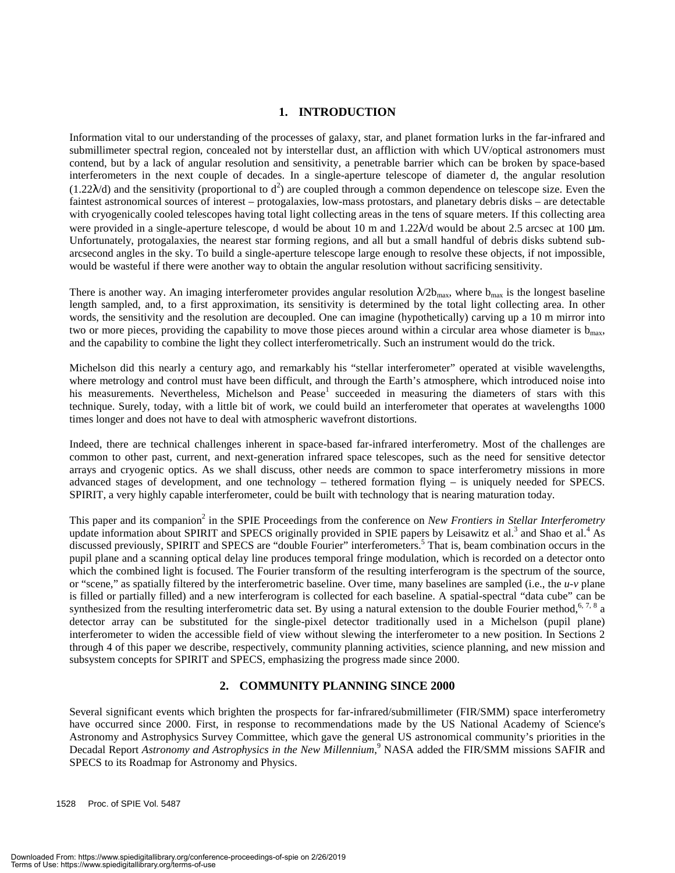#### **1. INTRODUCTION**

Information vital to our understanding of the processes of galaxy, star, and planet formation lurks in the far-infrared and submillimeter spectral region, concealed not by interstellar dust, an affliction with which UV/optical astronomers must contend, but by a lack of angular resolution and sensitivity, a penetrable barrier which can be broken by space-based interferometers in the next couple of decades. In a single-aperture telescope of diameter d, the angular resolution  $(1.22\lambda/d)$  and the sensitivity (proportional to  $d^2$ ) are coupled through a common dependence on telescope size. Even the faintest astronomical sources of interest – protogalaxies, low-mass protostars, and planetary debris disks – are detectable with cryogenically cooled telescopes having total light collecting areas in the tens of square meters. If this collecting area were provided in a single-aperture telescope, d would be about 10 m and 1.22λ/d would be about 2.5 arcsec at 100 µm. Unfortunately, protogalaxies, the nearest star forming regions, and all but a small handful of debris disks subtend subarcsecond angles in the sky. To build a single-aperture telescope large enough to resolve these objects, if not impossible, would be wasteful if there were another way to obtain the angular resolution without sacrificing sensitivity.

There is another way. An imaging interferometer provides angular resolution  $\lambda/2b_{\text{max}}$ , where  $b_{\text{max}}$  is the longest baseline length sampled, and, to a first approximation, its sensitivity is determined by the total light collecting area. In other words, the sensitivity and the resolution are decoupled. One can imagine (hypothetically) carving up a 10 m mirror into two or more pieces, providing the capability to move those pieces around within a circular area whose diameter is  $b_{\text{max}}$ , and the capability to combine the light they collect interferometrically. Such an instrument would do the trick.

Michelson did this nearly a century ago, and remarkably his "stellar interferometer" operated at visible wavelengths, where metrology and control must have been difficult, and through the Earth's atmosphere, which introduced noise into his measurements. Nevertheless, Michelson and Pease<sup>1</sup> succeeded in measuring the diameters of stars with this technique. Surely, today, with a little bit of work, we could build an interferometer that operates at wavelengths 1000 times longer and does not have to deal with atmospheric wavefront distortions.

Indeed, there are technical challenges inherent in space-based far-infrared interferometry. Most of the challenges are common to other past, current, and next-generation infrared space telescopes, such as the need for sensitive detector arrays and cryogenic optics. As we shall discuss, other needs are common to space interferometry missions in more advanced stages of development, and one technology – tethered formation flying – is uniquely needed for SPECS. SPIRIT, a very highly capable interferometer, could be built with technology that is nearing maturation today.

This paper and its companion<sup>2</sup> in the SPIE Proceedings from the conference on *New Frontiers in Stellar Interferometry* update information about SPIRIT and SPECS originally provided in SPIE papers by Leisawitz et al.<sup>3</sup> and Shao et al.<sup>4</sup> As discussed previously, SPIRIT and SPECS are "double Fourier" interferometers.<sup>5</sup> That is, beam combination occurs in the pupil plane and a scanning optical delay line produces temporal fringe modulation, which is recorded on a detector onto which the combined light is focused. The Fourier transform of the resulting interferogram is the spectrum of the source, or "scene," as spatially filtered by the interferometric baseline. Over time, many baselines are sampled (i.e., the *u-v* plane is filled or partially filled) and a new interferogram is collected for each baseline. A spatial-spectral "data cube" can be synthesized from the resulting interferometric data set. By using a natural extension to the double Fourier method,<sup>6,7,8</sup> a detector array can be substituted for the single-pixel detector traditionally used in a Michelson (pupil plane) interferometer to widen the accessible field of view without slewing the interferometer to a new position. In Sections 2 through 4 of this paper we describe, respectively, community planning activities, science planning, and new mission and subsystem concepts for SPIRIT and SPECS, emphasizing the progress made since 2000.

#### **2. COMMUNITY PLANNING SINCE 2000**

Several significant events which brighten the prospects for far-infrared/submillimeter (FIR/SMM) space interferometry have occurred since 2000. First, in response to recommendations made by the US National Academy of Science's Astronomy and Astrophysics Survey Committee, which gave the general US astronomical community's priorities in the Decadal Report Astronomy and Astrophysics in the New Millennium,<sup>9</sup> NASA added the FIR/SMM missions SAFIR and SPECS to its Roadmap for Astronomy and Physics.

1528 Proc. of SPIE Vol. 5487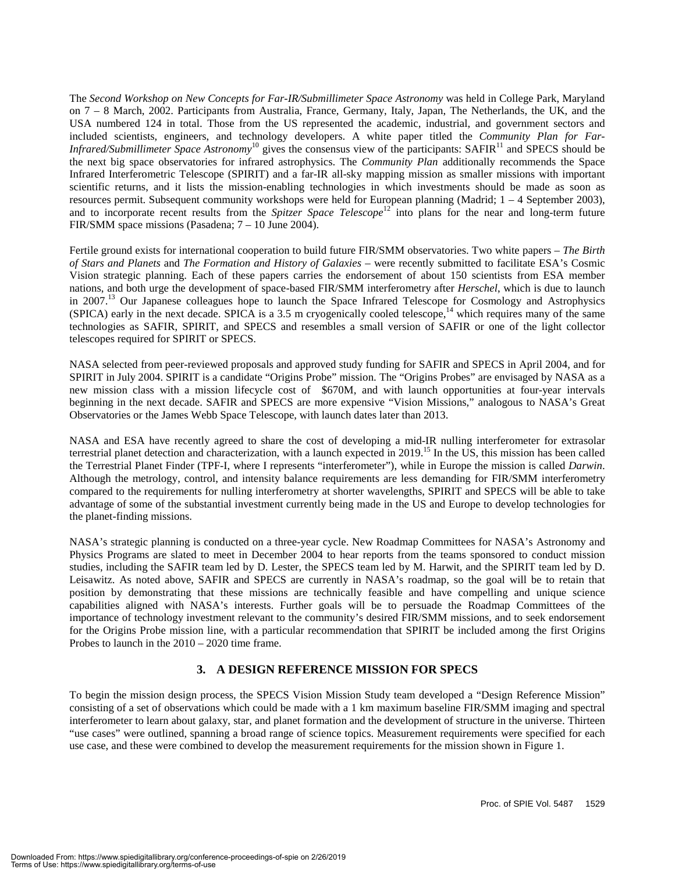The *Second Workshop on New Concepts for Far-IR/Submillimeter Space Astronomy* was held in College Park, Maryland on 7 – 8 March, 2002. Participants from Australia, France, Germany, Italy, Japan, The Netherlands, the UK, and the USA numbered 124 in total. Those from the US represented the academic, industrial, and government sectors and included scientists, engineers, and technology developers. A white paper titled the *Community Plan for Far-Infrared/Submillimeter Space Astronomy*<sup>10</sup> gives the consensus view of the participants: SAFIR<sup>11</sup> and SPECS should be the next big space observatories for infrared astrophysics. The *Community Plan* additionally recommends the Space Infrared Interferometric Telescope (SPIRIT) and a far-IR all-sky mapping mission as smaller missions with important scientific returns, and it lists the mission-enabling technologies in which investments should be made as soon as resources permit. Subsequent community workshops were held for European planning (Madrid; 1 – 4 September 2003), and to incorporate recent results from the *Spitzer Space Telescope*<sup>12</sup> into plans for the near and long-term future FIR/SMM space missions (Pasadena; 7 – 10 June 2004).

Fertile ground exists for international cooperation to build future FIR/SMM observatories. Two white papers – *The Birth of Stars and Planets* and *The Formation and History of Galaxies* – were recently submitted to facilitate ESA's Cosmic Vision strategic planning. Each of these papers carries the endorsement of about 150 scientists from ESA member nations, and both urge the development of space-based FIR/SMM interferometry after *Herschel*, which is due to launch in 2007.13 Our Japanese colleagues hope to launch the Space Infrared Telescope for Cosmology and Astrophysics (SPICA) early in the next decade. SPICA is a 3.5 m cryogenically cooled telescope,<sup>14</sup> which requires many of the same technologies as SAFIR, SPIRIT, and SPECS and resembles a small version of SAFIR or one of the light collector telescopes required for SPIRIT or SPECS.

NASA selected from peer-reviewed proposals and approved study funding for SAFIR and SPECS in April 2004, and for SPIRIT in July 2004. SPIRIT is a candidate "Origins Probe" mission. The "Origins Probes" are envisaged by NASA as a new mission class with a mission lifecycle cost of \$670M, and with launch opportunities at four-year intervals beginning in the next decade. SAFIR and SPECS are more expensive "Vision Missions," analogous to NASA's Great Observatories or the James Webb Space Telescope, with launch dates later than 2013.

NASA and ESA have recently agreed to share the cost of developing a mid-IR nulling interferometer for extrasolar terrestrial planet detection and characterization, with a launch expected in 2019.<sup>15</sup> In the US, this mission has been called the Terrestrial Planet Finder (TPF-I, where I represents "interferometer"), while in Europe the mission is called *Darwin*. Although the metrology, control, and intensity balance requirements are less demanding for FIR/SMM interferometry compared to the requirements for nulling interferometry at shorter wavelengths, SPIRIT and SPECS will be able to take advantage of some of the substantial investment currently being made in the US and Europe to develop technologies for the planet-finding missions.

NASA's strategic planning is conducted on a three-year cycle. New Roadmap Committees for NASA's Astronomy and Physics Programs are slated to meet in December 2004 to hear reports from the teams sponsored to conduct mission studies, including the SAFIR team led by D. Lester, the SPECS team led by M. Harwit, and the SPIRIT team led by D. Leisawitz. As noted above, SAFIR and SPECS are currently in NASA's roadmap, so the goal will be to retain that position by demonstrating that these missions are technically feasible and have compelling and unique science capabilities aligned with NASA's interests. Further goals will be to persuade the Roadmap Committees of the importance of technology investment relevant to the community's desired FIR/SMM missions, and to seek endorsement for the Origins Probe mission line, with a particular recommendation that SPIRIT be included among the first Origins Probes to launch in the 2010 – 2020 time frame.

#### **3. A DESIGN REFERENCE MISSION FOR SPECS**

To begin the mission design process, the SPECS Vision Mission Study team developed a "Design Reference Mission" consisting of a set of observations which could be made with a 1 km maximum baseline FIR/SMM imaging and spectral interferometer to learn about galaxy, star, and planet formation and the development of structure in the universe. Thirteen "use cases" were outlined, spanning a broad range of science topics. Measurement requirements were specified for each use case, and these were combined to develop the measurement requirements for the mission shown in Figure 1.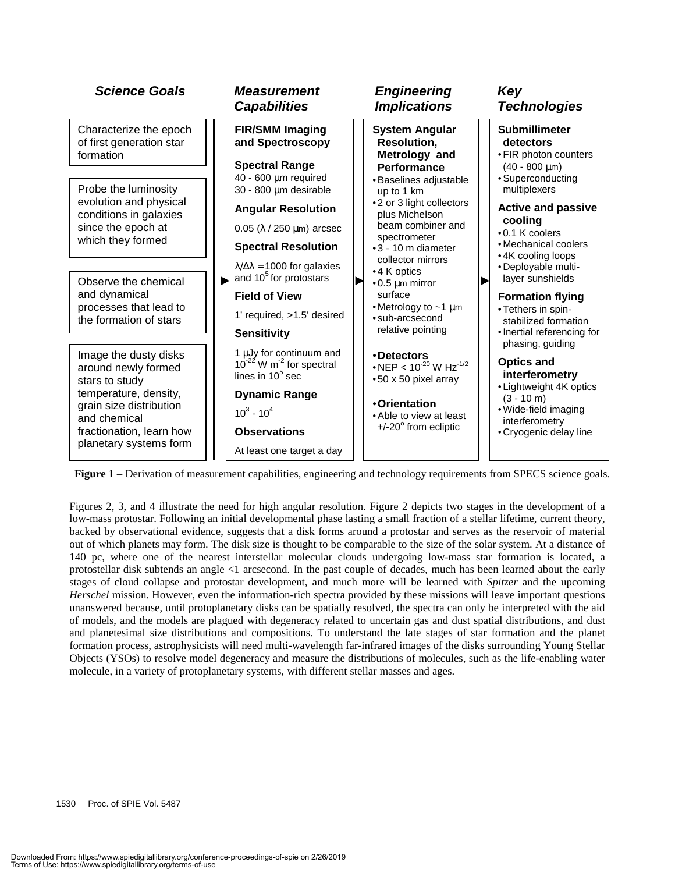

**Figure 1** – Derivation of measurement capabilities, engineering and technology requirements from SPECS science goals.

Figures 2, 3, and 4 illustrate the need for high angular resolution. Figure 2 depicts two stages in the development of a low-mass protostar. Following an initial developmental phase lasting a small fraction of a stellar lifetime, current theory, backed by observational evidence, suggests that a disk forms around a protostar and serves as the reservoir of material out of which planets may form. The disk size is thought to be comparable to the size of the solar system. At a distance of 140 pc, where one of the nearest interstellar molecular clouds undergoing low-mass star formation is located, a protostellar disk subtends an angle <1 arcsecond. In the past couple of decades, much has been learned about the early stages of cloud collapse and protostar development, and much more will be learned with *Spitzer* and the upcoming *Herschel* mission. However, even the information-rich spectra provided by these missions will leave important questions unanswered because, until protoplanetary disks can be spatially resolved, the spectra can only be interpreted with the aid of models, and the models are plagued with degeneracy related to uncertain gas and dust spatial distributions, and dust and planetesimal size distributions and compositions. To understand the late stages of star formation and the planet formation process, astrophysicists will need multi-wavelength far-infrared images of the disks surrounding Young Stellar Objects (YSOs) to resolve model degeneracy and measure the distributions of molecules, such as the life-enabling water molecule, in a variety of protoplanetary systems, with different stellar masses and ages.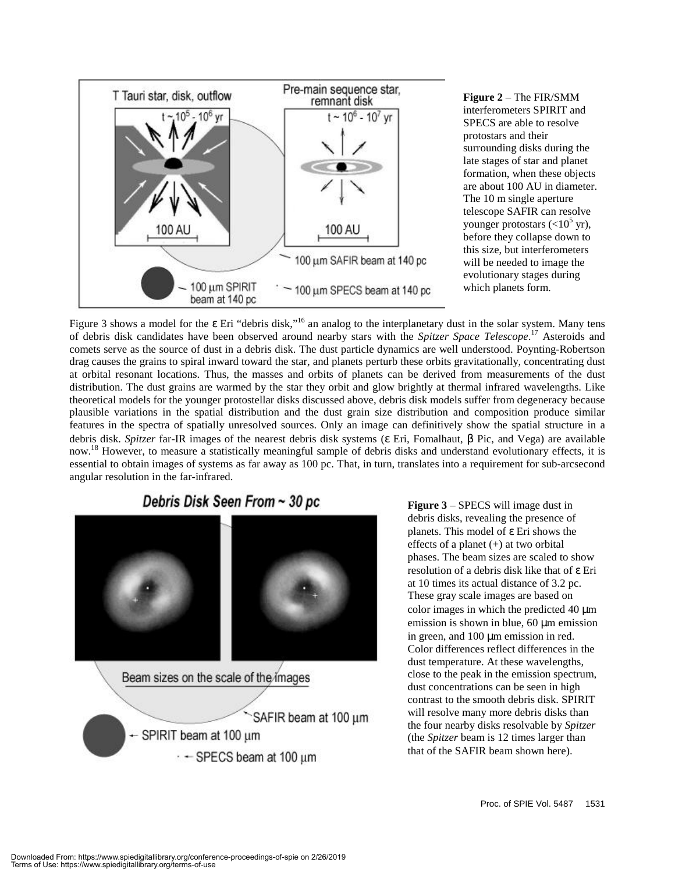

**Figure 2** – The FIR/SMM interferometers SPIRIT and SPECS are able to resolve protostars and their surrounding disks during the late stages of star and planet formation, when these objects are about 100 AU in diameter. The 10 m single aperture telescope SAFIR can resolve younger protostars  $(<10^5$  yr), before they collapse down to this size, but interferometers will be needed to image the evolutionary stages during which planets form.

Figure 3 shows a model for the  $\epsilon$  Eri "debris disk,"<sup>16</sup> an analog to the interplanetary dust in the solar system. Many tens of debris disk candidates have been observed around nearby stars with the *Spitzer Space Telescope*. 17 Asteroids and comets serve as the source of dust in a debris disk. The dust particle dynamics are well understood. Poynting-Robertson drag causes the grains to spiral inward toward the star, and planets perturb these orbits gravitationally, concentrating dust at orbital resonant locations. Thus, the masses and orbits of planets can be derived from measurements of the dust distribution. The dust grains are warmed by the star they orbit and glow brightly at thermal infrared wavelengths. Like theoretical models for the younger protostellar disks discussed above, debris disk models suffer from degeneracy because plausible variations in the spatial distribution and the dust grain size distribution and composition produce similar features in the spectra of spatially unresolved sources. Only an image can definitively show the spatial structure in a debris disk. *Spitzer* far-IR images of the nearest debris disk systems (ε Eri, Fomalhaut, β Pic, and Vega) are available now.<sup>18</sup> However, to measure a statistically meaningful sample of debris disks and understand evolutionary effects, it is essential to obtain images of systems as far away as 100 pc. That, in turn, translates into a requirement for sub-arcsecond angular resolution in the far-infrared.



**Figure 3** – SPECS will image dust in debris disks, revealing the presence of planets. This model of ε Eri shows the effects of a planet  $(+)$  at two orbital phases. The beam sizes are scaled to show resolution of a debris disk like that of ε Eri at 10 times its actual distance of 3.2 pc. These gray scale images are based on color images in which the predicted 40 µm emission is shown in blue, 60 µm emission in green, and 100  $\mu$ m emission in red. Color differences reflect differences in the dust temperature. At these wavelengths, close to the peak in the emission spectrum, dust concentrations can be seen in high contrast to the smooth debris disk. SPIRIT will resolve many more debris disks than the four nearby disks resolvable by *Spitzer* (the *Spitzer* beam is 12 times larger than that of the SAFIR beam shown here).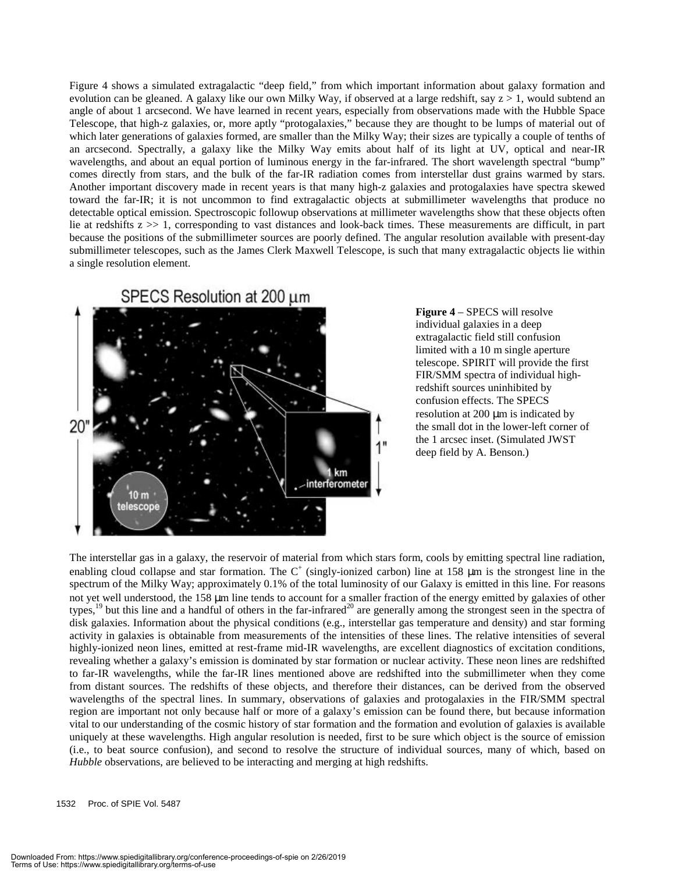Figure 4 shows a simulated extragalactic "deep field," from which important information about galaxy formation and evolution can be gleaned. A galaxy like our own Milky Way, if observed at a large redshift, say  $z > 1$ , would subtend an angle of about 1 arcsecond. We have learned in recent years, especially from observations made with the Hubble Space Telescope, that high-z galaxies, or, more aptly "protogalaxies," because they are thought to be lumps of material out of which later generations of galaxies formed, are smaller than the Milky Way; their sizes are typically a couple of tenths of an arcsecond. Spectrally, a galaxy like the Milky Way emits about half of its light at UV, optical and near-IR wavelengths, and about an equal portion of luminous energy in the far-infrared. The short wavelength spectral "bump" comes directly from stars, and the bulk of the far-IR radiation comes from interstellar dust grains warmed by stars. Another important discovery made in recent years is that many high-z galaxies and protogalaxies have spectra skewed toward the far-IR; it is not uncommon to find extragalactic objects at submillimeter wavelengths that produce no detectable optical emission. Spectroscopic followup observations at millimeter wavelengths show that these objects often lie at redshifts z >> 1, corresponding to vast distances and look-back times. These measurements are difficult, in part because the positions of the submillimeter sources are poorly defined. The angular resolution available with present-day submillimeter telescopes, such as the James Clerk Maxwell Telescope, is such that many extragalactic objects lie within a single resolution element.



**Figure 4** – SPECS will resolve individual galaxies in a deep extragalactic field still confusion limited with a 10 m single aperture telescope. SPIRIT will provide the first FIR/SMM spectra of individual highredshift sources uninhibited by confusion effects. The SPECS resolution at 200 µm is indicated by the small dot in the lower-left corner of the 1 arcsec inset. (Simulated JWST deep field by A. Benson.)

The interstellar gas in a galaxy, the reservoir of material from which stars form, cools by emitting spectral line radiation, enabling cloud collapse and star formation. The  $C^+$  (singly-ionized carbon) line at 158  $\mu$ m is the strongest line in the spectrum of the Milky Way; approximately 0.1% of the total luminosity of our Galaxy is emitted in this line. For reasons not yet well understood, the 158 µm line tends to account for a smaller fraction of the energy emitted by galaxies of other types,<sup>19</sup> but this line and a handful of others in the far-infrared<sup>20</sup> are generally among the strongest seen in the spectra of disk galaxies. Information about the physical conditions (e.g., interstellar gas temperature and density) and star forming activity in galaxies is obtainable from measurements of the intensities of these lines. The relative intensities of several highly-ionized neon lines, emitted at rest-frame mid-IR wavelengths, are excellent diagnostics of excitation conditions, revealing whether a galaxy's emission is dominated by star formation or nuclear activity. These neon lines are redshifted to far-IR wavelengths, while the far-IR lines mentioned above are redshifted into the submillimeter when they come from distant sources. The redshifts of these objects, and therefore their distances, can be derived from the observed wavelengths of the spectral lines. In summary, observations of galaxies and protogalaxies in the FIR/SMM spectral region are important not only because half or more of a galaxy's emission can be found there, but because information vital to our understanding of the cosmic history of star formation and the formation and evolution of galaxies is available uniquely at these wavelengths. High angular resolution is needed, first to be sure which object is the source of emission (i.e., to beat source confusion), and second to resolve the structure of individual sources, many of which, based on *Hubble* observations, are believed to be interacting and merging at high redshifts.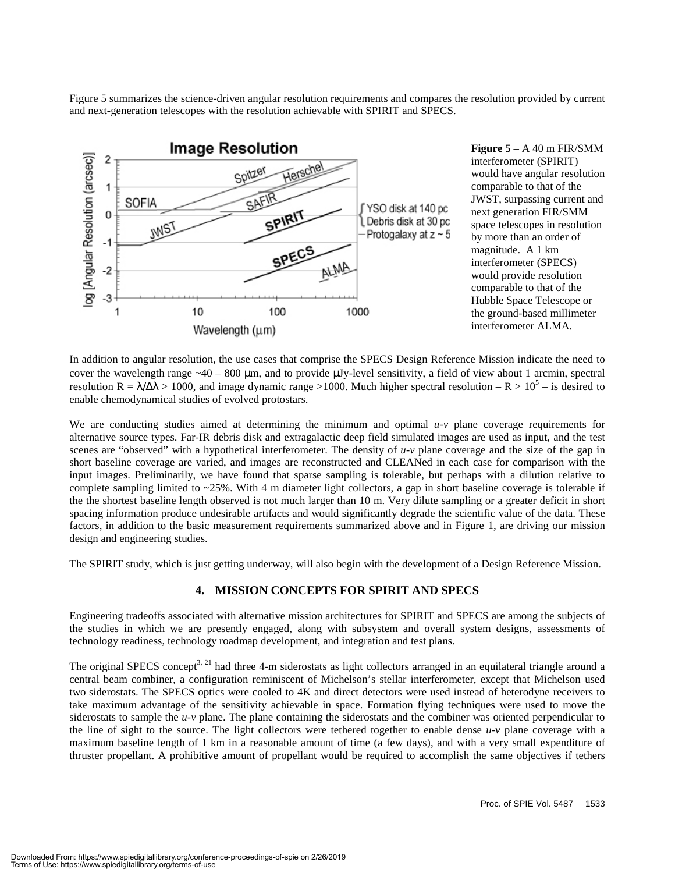Figure 5 summarizes the science-driven angular resolution requirements and compares the resolution provided by current and next-generation telescopes with the resolution achievable with SPIRIT and SPECS.



**Figure 5** – A 40 m FIR/SMM interferometer (SPIRIT) would have angular resolution comparable to that of the JWST, surpassing current and next generation FIR/SMM space telescopes in resolution by more than an order of magnitude. A 1 km interferometer (SPECS) would provide resolution comparable to that of the Hubble Space Telescope or the ground-based millimeter interferometer ALMA.

In addition to angular resolution, the use cases that comprise the SPECS Design Reference Mission indicate the need to cover the wavelength range  $~40 - 800 \mu m$ , and to provide  $~\mu$ Jy-level sensitivity, a field of view about 1 arcmin, spectral resolution  $R = \lambda/\Delta\lambda > 1000$ , and image dynamic range >1000. Much higher spectral resolution  $-R > 10^5$  – is desired to enable chemodynamical studies of evolved protostars.

We are conducting studies aimed at determining the minimum and optimal  $u \cdot v$  plane coverage requirements for alternative source types. Far-IR debris disk and extragalactic deep field simulated images are used as input, and the test scenes are "observed" with a hypothetical interferometer. The density of  $u$ -v plane coverage and the size of the gap in short baseline coverage are varied, and images are reconstructed and CLEANed in each case for comparison with the input images. Preliminarily, we have found that sparse sampling is tolerable, but perhaps with a dilution relative to complete sampling limited to ~25%. With 4 m diameter light collectors, a gap in short baseline coverage is tolerable if the the shortest baseline length observed is not much larger than 10 m. Very dilute sampling or a greater deficit in short spacing information produce undesirable artifacts and would significantly degrade the scientific value of the data. These factors, in addition to the basic measurement requirements summarized above and in Figure 1, are driving our mission design and engineering studies.

The SPIRIT study, which is just getting underway, will also begin with the development of a Design Reference Mission.

#### **4. MISSION CONCEPTS FOR SPIRIT AND SPECS**

Engineering tradeoffs associated with alternative mission architectures for SPIRIT and SPECS are among the subjects of the studies in which we are presently engaged, along with subsystem and overall system designs, assessments of technology readiness, technology roadmap development, and integration and test plans.

The original SPECS concept<sup>3, 21</sup> had three 4-m siderostats as light collectors arranged in an equilateral triangle around a central beam combiner, a configuration reminiscent of Michelson's stellar interferometer, except that Michelson used two siderostats. The SPECS optics were cooled to 4K and direct detectors were used instead of heterodyne receivers to take maximum advantage of the sensitivity achievable in space. Formation flying techniques were used to move the siderostats to sample the *u*-*v* plane. The plane containing the siderostats and the combiner was oriented perpendicular to the line of sight to the source. The light collectors were tethered together to enable dense *u-v* plane coverage with a maximum baseline length of 1 km in a reasonable amount of time (a few days), and with a very small expenditure of thruster propellant. A prohibitive amount of propellant would be required to accomplish the same objectives if tethers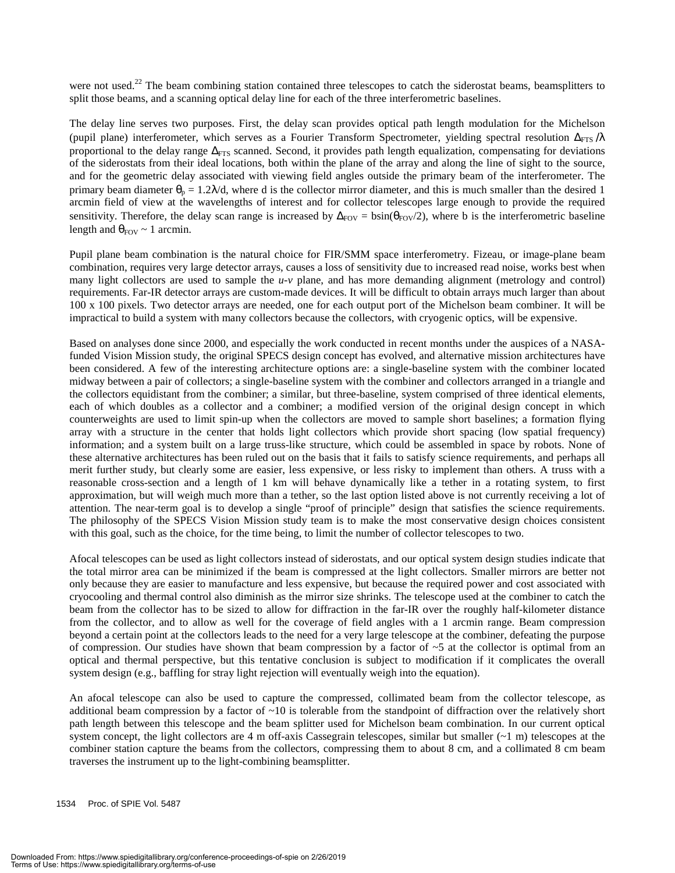were not used.<sup>22</sup> The beam combining station contained three telescopes to catch the siderostat beams, beamsplitters to split those beams, and a scanning optical delay line for each of the three interferometric baselines.

The delay line serves two purposes. First, the delay scan provides optical path length modulation for the Michelson (pupil plane) interferometer, which serves as a Fourier Transform Spectrometer, yielding spectral resolution  $\Delta_{\text{FTS}}/\lambda$ proportional to the delay range  $\Delta_{\text{FTS}}$  scanned. Second, it provides path length equalization, compensating for deviations of the siderostats from their ideal locations, both within the plane of the array and along the line of sight to the source, and for the geometric delay associated with viewing field angles outside the primary beam of the interferometer. The primary beam diameter  $\theta_p = 1.2\lambda/d$ , where d is the collector mirror diameter, and this is much smaller than the desired 1 arcmin field of view at the wavelengths of interest and for collector telescopes large enough to provide the required sensitivity. Therefore, the delay scan range is increased by  $\Delta_{FOV} = b\sin(\theta_{FOV}/2)$ , where b is the interferometric baseline length and  $\theta_{\text{FOV}} \sim 1$  arcmin.

Pupil plane beam combination is the natural choice for FIR/SMM space interferometry. Fizeau, or image-plane beam combination, requires very large detector arrays, causes a loss of sensitivity due to increased read noise, works best when many light collectors are used to sample the *u-v* plane, and has more demanding alignment (metrology and control) requirements. Far-IR detector arrays are custom-made devices. It will be difficult to obtain arrays much larger than about 100 x 100 pixels. Two detector arrays are needed, one for each output port of the Michelson beam combiner. It will be impractical to build a system with many collectors because the collectors, with cryogenic optics, will be expensive.

Based on analyses done since 2000, and especially the work conducted in recent months under the auspices of a NASAfunded Vision Mission study, the original SPECS design concept has evolved, and alternative mission architectures have been considered. A few of the interesting architecture options are: a single-baseline system with the combiner located midway between a pair of collectors; a single-baseline system with the combiner and collectors arranged in a triangle and the collectors equidistant from the combiner; a similar, but three-baseline, system comprised of three identical elements, each of which doubles as a collector and a combiner; a modified version of the original design concept in which counterweights are used to limit spin-up when the collectors are moved to sample short baselines; a formation flying array with a structure in the center that holds light collectors which provide short spacing (low spatial frequency) information; and a system built on a large truss-like structure, which could be assembled in space by robots. None of these alternative architectures has been ruled out on the basis that it fails to satisfy science requirements, and perhaps all merit further study, but clearly some are easier, less expensive, or less risky to implement than others. A truss with a reasonable cross-section and a length of 1 km will behave dynamically like a tether in a rotating system, to first approximation, but will weigh much more than a tether, so the last option listed above is not currently receiving a lot of attention. The near-term goal is to develop a single "proof of principle" design that satisfies the science requirements. The philosophy of the SPECS Vision Mission study team is to make the most conservative design choices consistent with this goal, such as the choice, for the time being, to limit the number of collector telescopes to two.

Afocal telescopes can be used as light collectors instead of siderostats, and our optical system design studies indicate that the total mirror area can be minimized if the beam is compressed at the light collectors. Smaller mirrors are better not only because they are easier to manufacture and less expensive, but because the required power and cost associated with cryocooling and thermal control also diminish as the mirror size shrinks. The telescope used at the combiner to catch the beam from the collector has to be sized to allow for diffraction in the far-IR over the roughly half-kilometer distance from the collector, and to allow as well for the coverage of field angles with a 1 arcmin range. Beam compression beyond a certain point at the collectors leads to the need for a very large telescope at the combiner, defeating the purpose of compression. Our studies have shown that beam compression by a factor of  $\sim$  5 at the collector is optimal from an optical and thermal perspective, but this tentative conclusion is subject to modification if it complicates the overall system design (e.g., baffling for stray light rejection will eventually weigh into the equation).

An afocal telescope can also be used to capture the compressed, collimated beam from the collector telescope, as additional beam compression by a factor of  $\sim$ 10 is tolerable from the standpoint of diffraction over the relatively short path length between this telescope and the beam splitter used for Michelson beam combination. In our current optical system concept, the light collectors are 4 m off-axis Cassegrain telescopes, similar but smaller  $(\sim 1 \text{ m})$  telescopes at the combiner station capture the beams from the collectors, compressing them to about 8 cm, and a collimated 8 cm beam traverses the instrument up to the light-combining beamsplitter.

1534 Proc. of SPIE Vol. 5487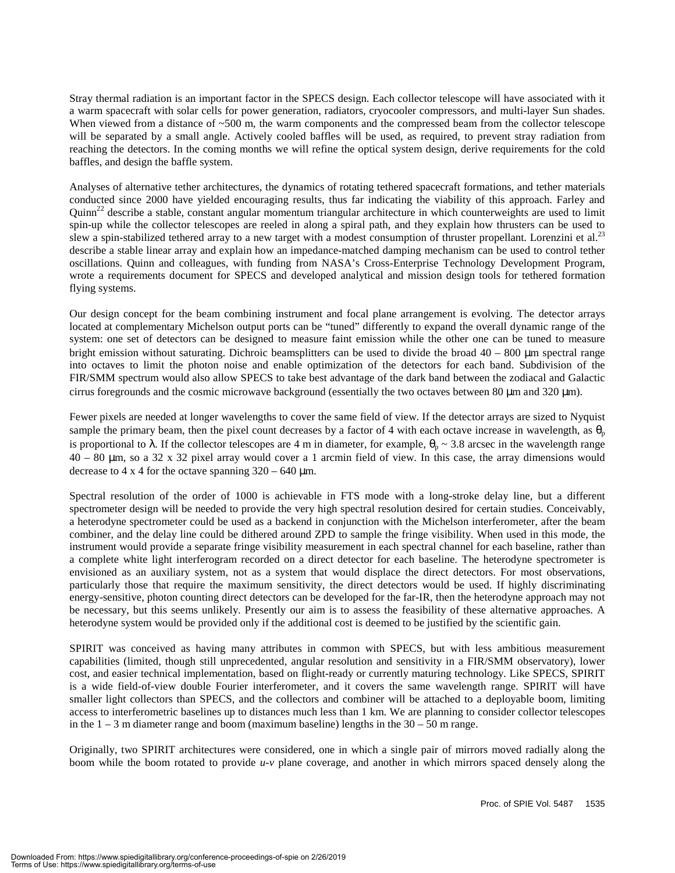Stray thermal radiation is an important factor in the SPECS design. Each collector telescope will have associated with it a warm spacecraft with solar cells for power generation, radiators, cryocooler compressors, and multi-layer Sun shades. When viewed from a distance of ~500 m, the warm components and the compressed beam from the collector telescope will be separated by a small angle. Actively cooled baffles will be used, as required, to prevent stray radiation from reaching the detectors. In the coming months we will refine the optical system design, derive requirements for the cold baffles, and design the baffle system.

Analyses of alternative tether architectures, the dynamics of rotating tethered spacecraft formations, and tether materials conducted since 2000 have yielded encouraging results, thus far indicating the viability of this approach. Farley and Quinn<sup>22</sup> describe a stable, constant angular momentum triangular architecture in which counterweights are used to limit spin-up while the collector telescopes are reeled in along a spiral path, and they explain how thrusters can be used to slew a spin-stabilized tethered array to a new target with a modest consumption of thruster propellant. Lorenzini et al. $^{23}$ describe a stable linear array and explain how an impedance-matched damping mechanism can be used to control tether oscillations. Quinn and colleagues, with funding from NASA's Cross-Enterprise Technology Development Program, wrote a requirements document for SPECS and developed analytical and mission design tools for tethered formation flying systems.

Our design concept for the beam combining instrument and focal plane arrangement is evolving. The detector arrays located at complementary Michelson output ports can be "tuned" differently to expand the overall dynamic range of the system: one set of detectors can be designed to measure faint emission while the other one can be tuned to measure bright emission without saturating. Dichroic beamsplitters can be used to divide the broad  $40 - 800 \mu m$  spectral range into octaves to limit the photon noise and enable optimization of the detectors for each band. Subdivision of the FIR/SMM spectrum would also allow SPECS to take best advantage of the dark band between the zodiacal and Galactic cirrus foregrounds and the cosmic microwave background (essentially the two octaves between 80  $\mu$ m and 320  $\mu$ m).

Fewer pixels are needed at longer wavelengths to cover the same field of view. If the detector arrays are sized to Nyquist sample the primary beam, then the pixel count decreases by a factor of 4 with each octave increase in wavelength, as  $\theta_{p}$ is proportional to  $\lambda$ . If the collector telescopes are 4 m in diameter, for example,  $\theta_p \sim 3.8$  arcsec in the wavelength range 40 – 80 µm, so a 32 x 32 pixel array would cover a 1 arcmin field of view. In this case, the array dimensions would decrease to 4 x 4 for the octave spanning  $320 - 640 \mu m$ .

Spectral resolution of the order of 1000 is achievable in FTS mode with a long-stroke delay line, but a different spectrometer design will be needed to provide the very high spectral resolution desired for certain studies. Conceivably, a heterodyne spectrometer could be used as a backend in conjunction with the Michelson interferometer, after the beam combiner, and the delay line could be dithered around ZPD to sample the fringe visibility. When used in this mode, the instrument would provide a separate fringe visibility measurement in each spectral channel for each baseline, rather than a complete white light interferogram recorded on a direct detector for each baseline. The heterodyne spectrometer is envisioned as an auxiliary system, not as a system that would displace the direct detectors. For most observations, particularly those that require the maximum sensitivity, the direct detectors would be used. If highly discriminating energy-sensitive, photon counting direct detectors can be developed for the far-IR, then the heterodyne approach may not be necessary, but this seems unlikely. Presently our aim is to assess the feasibility of these alternative approaches. A heterodyne system would be provided only if the additional cost is deemed to be justified by the scientific gain.

SPIRIT was conceived as having many attributes in common with SPECS, but with less ambitious measurement capabilities (limited, though still unprecedented, angular resolution and sensitivity in a FIR/SMM observatory), lower cost, and easier technical implementation, based on flight-ready or currently maturing technology. Like SPECS, SPIRIT is a wide field-of-view double Fourier interferometer, and it covers the same wavelength range. SPIRIT will have smaller light collectors than SPECS, and the collectors and combiner will be attached to a deployable boom, limiting access to interferometric baselines up to distances much less than 1 km. We are planning to consider collector telescopes in the  $1 - 3$  m diameter range and boom (maximum baseline) lengths in the  $30 - 50$  m range.

Originally, two SPIRIT architectures were considered, one in which a single pair of mirrors moved radially along the boom while the boom rotated to provide *u-v* plane coverage, and another in which mirrors spaced densely along the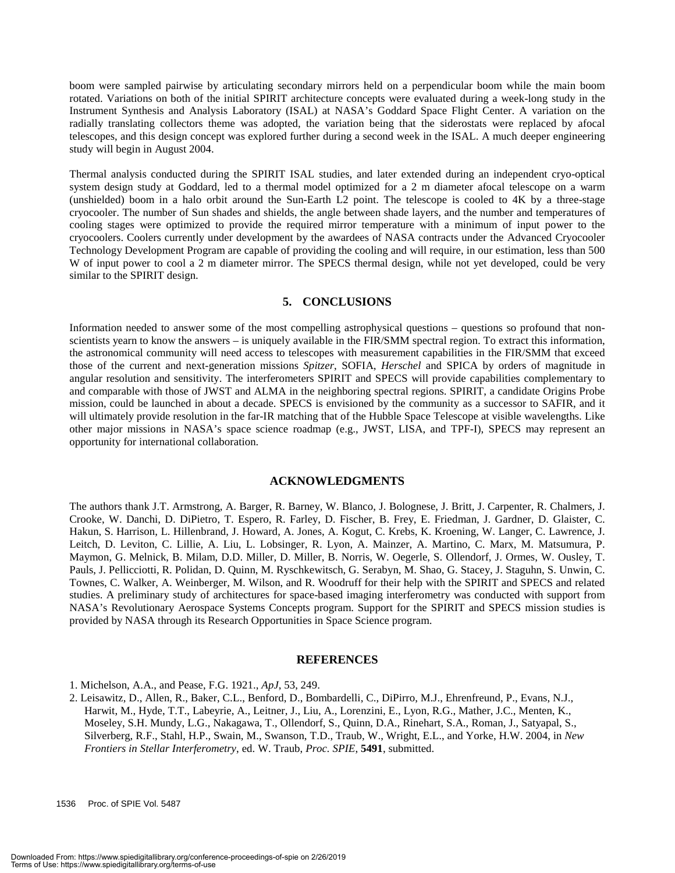boom were sampled pairwise by articulating secondary mirrors held on a perpendicular boom while the main boom rotated. Variations on both of the initial SPIRIT architecture concepts were evaluated during a week-long study in the Instrument Synthesis and Analysis Laboratory (ISAL) at NASA's Goddard Space Flight Center. A variation on the radially translating collectors theme was adopted, the variation being that the siderostats were replaced by afocal telescopes, and this design concept was explored further during a second week in the ISAL. A much deeper engineering study will begin in August 2004.

Thermal analysis conducted during the SPIRIT ISAL studies, and later extended during an independent cryo-optical system design study at Goddard, led to a thermal model optimized for a 2 m diameter afocal telescope on a warm (unshielded) boom in a halo orbit around the Sun-Earth L2 point. The telescope is cooled to 4K by a three-stage cryocooler. The number of Sun shades and shields, the angle between shade layers, and the number and temperatures of cooling stages were optimized to provide the required mirror temperature with a minimum of input power to the cryocoolers. Coolers currently under development by the awardees of NASA contracts under the Advanced Cryocooler Technology Development Program are capable of providing the cooling and will require, in our estimation, less than 500 W of input power to cool a 2 m diameter mirror. The SPECS thermal design, while not yet developed, could be very similar to the SPIRIT design.

#### **5. CONCLUSIONS**

Information needed to answer some of the most compelling astrophysical questions – questions so profound that nonscientists yearn to know the answers – is uniquely available in the FIR/SMM spectral region. To extract this information, the astronomical community will need access to telescopes with measurement capabilities in the FIR/SMM that exceed those of the current and next-generation missions *Spitzer*, SOFIA, *Herschel* and SPICA by orders of magnitude in angular resolution and sensitivity. The interferometers SPIRIT and SPECS will provide capabilities complementary to and comparable with those of JWST and ALMA in the neighboring spectral regions. SPIRIT, a candidate Origins Probe mission, could be launched in about a decade. SPECS is envisioned by the community as a successor to SAFIR, and it will ultimately provide resolution in the far-IR matching that of the Hubble Space Telescope at visible wavelengths. Like other major missions in NASA's space science roadmap (e.g., JWST, LISA, and TPF-I), SPECS may represent an opportunity for international collaboration.

#### **ACKNOWLEDGMENTS**

The authors thank J.T. Armstrong, A. Barger, R. Barney, W. Blanco, J. Bolognese, J. Britt, J. Carpenter, R. Chalmers, J. Crooke, W. Danchi, D. DiPietro, T. Espero, R. Farley, D. Fischer, B. Frey, E. Friedman, J. Gardner, D. Glaister, C. Hakun, S. Harrison, L. Hillenbrand, J. Howard, A. Jones, A. Kogut, C. Krebs, K. Kroening, W. Langer, C. Lawrence, J. Leitch, D. Leviton, C. Lillie, A. Liu, L. Lobsinger, R. Lyon, A. Mainzer, A. Martino, C. Marx, M. Matsumura, P. Maymon, G. Melnick, B. Milam, D.D. Miller, D. Miller, B. Norris, W. Oegerle, S. Ollendorf, J. Ormes, W. Ousley, T. Pauls, J. Pellicciotti, R. Polidan, D. Quinn, M. Ryschkewitsch, G. Serabyn, M. Shao, G. Stacey, J. Staguhn, S. Unwin, C. Townes, C. Walker, A. Weinberger, M. Wilson, and R. Woodruff for their help with the SPIRIT and SPECS and related studies. A preliminary study of architectures for space-based imaging interferometry was conducted with support from NASA's Revolutionary Aerospace Systems Concepts program. Support for the SPIRIT and SPECS mission studies is provided by NASA through its Research Opportunities in Space Science program.

#### **REFERENCES**

1. Michelson, A.A., and Pease, F.G. 1921., *ApJ*, 53, 249.

2. Leisawitz, D., Allen, R., Baker, C.L., Benford, D., Bombardelli, C., DiPirro, M.J., Ehrenfreund, P., Evans, N.J., Harwit, M., Hyde, T.T., Labeyrie, A., Leitner, J., Liu, A., Lorenzini, E., Lyon, R.G., Mather, J.C., Menten, K., Moseley, S.H. Mundy, L.G., Nakagawa, T., Ollendorf, S., Quinn, D.A., Rinehart, S.A., Roman, J., Satyapal, S., Silverberg, R.F., Stahl, H.P., Swain, M., Swanson, T.D., Traub, W., Wright, E.L., and Yorke, H.W. 2004, in *New Frontiers in Stellar Interferometry*, ed. W. Traub, *Proc. SPIE*, **5491**, submitted.

1536 Proc. of SPIE Vol. 5487